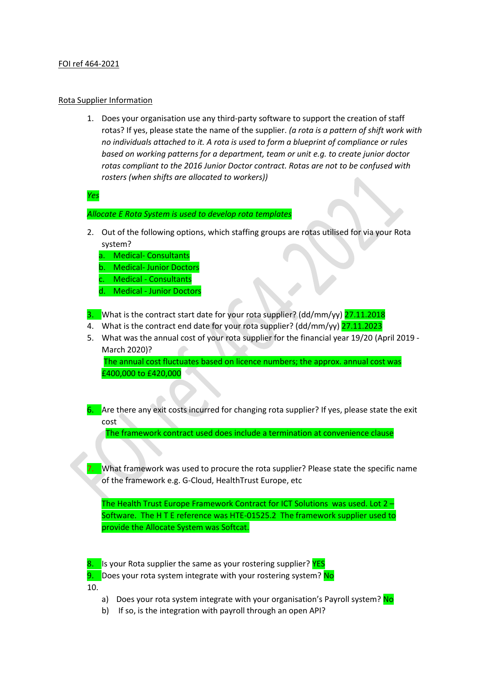## FOI ref 464-2021

## Rota Supplier Information

1. Does your organisation use any third-party software to support the creation of staff rotas? If yes, please state the name of the supplier. *(a rota is a pattern of shift work with no individuals attached to it. A rota is used to form a blueprint of compliance or rules based on working patterns for a department, team or unit e.g. to create junior doctor rotas compliant to the 2016 Junior Doctor contract. Rotas are not to be confused with rosters (when shifts are allocated to workers))*

*Yes* 

*Allocate E Rota System is used to develop rota templates*

- 2. Out of the following options, which staffing groups are rotas utilised for via your Rota system?
	- a. Medical- Consultants
	- b. Medical- Junior Doctors
	- **Medical Consultants**
	- d. Medical Junior Doctors
- 3. What is the contract start date for your rota supplier? (dd/mm/yy) 27.11.2018
- 4. What is the contract end date for your rota supplier? (dd/mm/yy) 27.11.2023
- 5. What was the annual cost of your rota supplier for the financial year 19/20 (April 2019 March 2020)?

The annual cost fluctuates based on licence numbers; the approx. annual cost was £400,000 to £420,000

6. Are there any exit costs incurred for changing rota supplier? If yes, please state the exit cost

The framework contract used does include a termination at convenience clause

7. What framework was used to procure the rota supplier? Please state the specific name of the framework e.g. G-Cloud, HealthTrust Europe, etc

The Health Trust Europe Framework Contract for ICT Solutions was used. Lot 2 – Software. The H T E reference was HTE-01525.2 The framework supplier used to provide the Allocate System was Softcat.

8. Is your Rota supplier the same as your rostering supplier? YES 9. Does your rota system integrate with your rostering system? No 10.

- a) Does your rota system integrate with your organisation's Payroll system? No
- b) If so, is the integration with payroll through an open API?